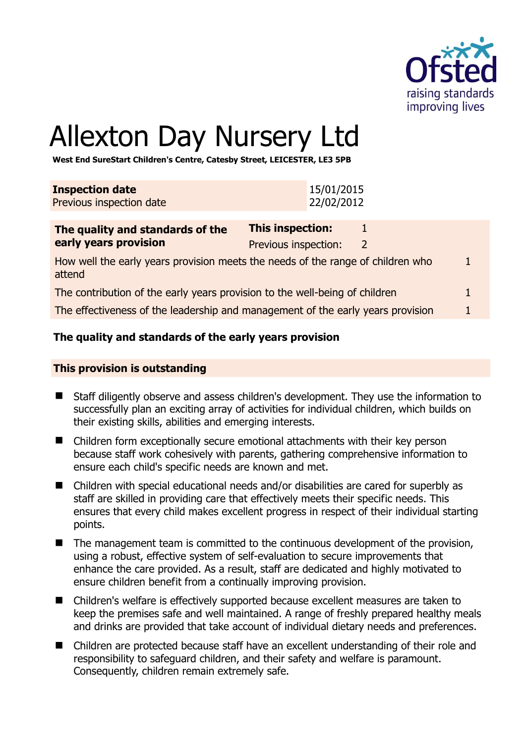

# Allexton Day Nursery Ltd

**West End SureStart Children's Centre, Catesby Street, LEICESTER, LE3 5PB** 

| <b>Inspection date</b><br>Previous inspection date |                  | 15/01/2015<br>22/02/2012 |
|----------------------------------------------------|------------------|--------------------------|
|                                                    |                  |                          |
| The second the second state database of these      | Thic incnoction: |                          |

| The quality and standards of the                                                          | This inspection:     |  |
|-------------------------------------------------------------------------------------------|----------------------|--|
| early years provision                                                                     | Previous inspection: |  |
| How well the early years provision meets the needs of the range of children who<br>attend |                      |  |
| The contribution of the early years provision to the well-being of children               |                      |  |

The effectiveness of the leadership and management of the early years provision 1

# **The quality and standards of the early years provision**

#### **This provision is outstanding**

- Staff diligently observe and assess children's development. They use the information to successfully plan an exciting array of activities for individual children, which builds on their existing skills, abilities and emerging interests.
- Children form exceptionally secure emotional attachments with their key person because staff work cohesively with parents, gathering comprehensive information to ensure each child's specific needs are known and met.
- Children with special educational needs and/or disabilities are cared for superbly as staff are skilled in providing care that effectively meets their specific needs. This ensures that every child makes excellent progress in respect of their individual starting points.
- The management team is committed to the continuous development of the provision, using a robust, effective system of self-evaluation to secure improvements that enhance the care provided. As a result, staff are dedicated and highly motivated to ensure children benefit from a continually improving provision.
- Children's welfare is effectively supported because excellent measures are taken to keep the premises safe and well maintained. A range of freshly prepared healthy meals and drinks are provided that take account of individual dietary needs and preferences.
- Children are protected because staff have an excellent understanding of their role and responsibility to safeguard children, and their safety and welfare is paramount. Consequently, children remain extremely safe.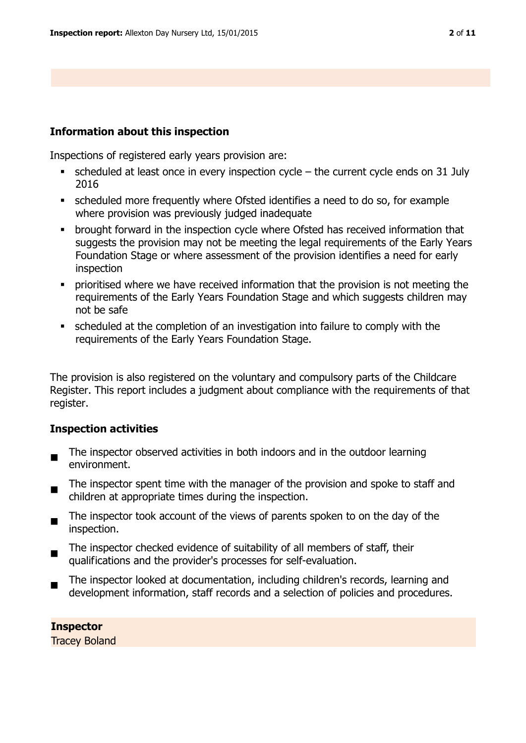#### **Information about this inspection**

Inspections of registered early years provision are:

- scheduled at least once in every inspection cycle the current cycle ends on 31 July 2016
- scheduled more frequently where Ofsted identifies a need to do so, for example where provision was previously judged inadequate
- brought forward in the inspection cycle where Ofsted has received information that suggests the provision may not be meeting the legal requirements of the Early Years Foundation Stage or where assessment of the provision identifies a need for early inspection
- prioritised where we have received information that the provision is not meeting the requirements of the Early Years Foundation Stage and which suggests children may not be safe
- scheduled at the completion of an investigation into failure to comply with the requirements of the Early Years Foundation Stage.

The provision is also registered on the voluntary and compulsory parts of the Childcare Register. This report includes a judgment about compliance with the requirements of that register.

#### **Inspection activities**

- $\blacksquare$ The inspector observed activities in both indoors and in the outdoor learning environment.
- The inspector spent time with the manager of the provision and spoke to staff and children at appropriate times during the inspection.
- $\blacksquare$ The inspector took account of the views of parents spoken to on the day of the inspection.
- $\blacksquare$ The inspector checked evidence of suitability of all members of staff, their qualifications and the provider's processes for self-evaluation.
- The inspector looked at documentation, including children's records, learning and development information, staff records and a selection of policies and procedures.

#### **Inspector**

Tracey Boland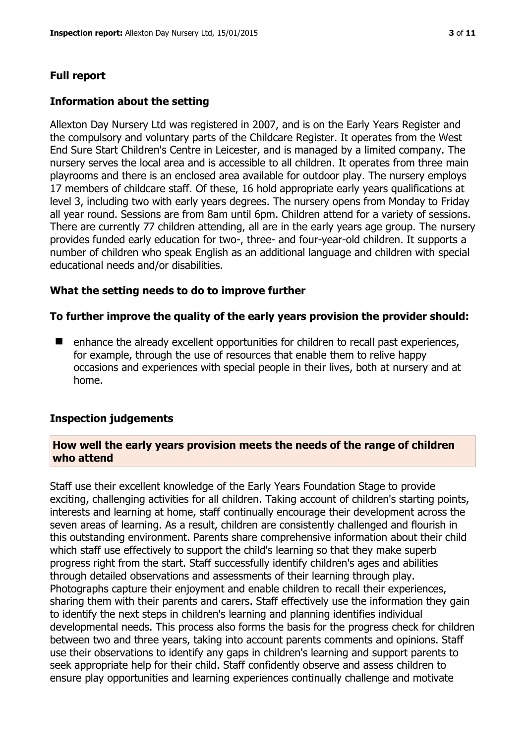# **Full report**

#### **Information about the setting**

Allexton Day Nursery Ltd was registered in 2007, and is on the Early Years Register and the compulsory and voluntary parts of the Childcare Register. It operates from the West End Sure Start Children's Centre in Leicester, and is managed by a limited company. The nursery serves the local area and is accessible to all children. It operates from three main playrooms and there is an enclosed area available for outdoor play. The nursery employs 17 members of childcare staff. Of these, 16 hold appropriate early years qualifications at level 3, including two with early years degrees. The nursery opens from Monday to Friday all year round. Sessions are from 8am until 6pm. Children attend for a variety of sessions. There are currently 77 children attending, all are in the early years age group. The nursery provides funded early education for two-, three- and four-year-old children. It supports a number of children who speak English as an additional language and children with special educational needs and/or disabilities.

#### **What the setting needs to do to improve further**

#### **To further improve the quality of the early years provision the provider should:**

■ enhance the already excellent opportunities for children to recall past experiences, for example, through the use of resources that enable them to relive happy occasions and experiences with special people in their lives, both at nursery and at home.

#### **Inspection judgements**

#### **How well the early years provision meets the needs of the range of children who attend**

Staff use their excellent knowledge of the Early Years Foundation Stage to provide exciting, challenging activities for all children. Taking account of children's starting points, interests and learning at home, staff continually encourage their development across the seven areas of learning. As a result, children are consistently challenged and flourish in this outstanding environment. Parents share comprehensive information about their child which staff use effectively to support the child's learning so that they make superb progress right from the start. Staff successfully identify children's ages and abilities through detailed observations and assessments of their learning through play. Photographs capture their enjoyment and enable children to recall their experiences, sharing them with their parents and carers. Staff effectively use the information they gain to identify the next steps in children's learning and planning identifies individual developmental needs. This process also forms the basis for the progress check for children between two and three years, taking into account parents comments and opinions. Staff use their observations to identify any gaps in children's learning and support parents to seek appropriate help for their child. Staff confidently observe and assess children to ensure play opportunities and learning experiences continually challenge and motivate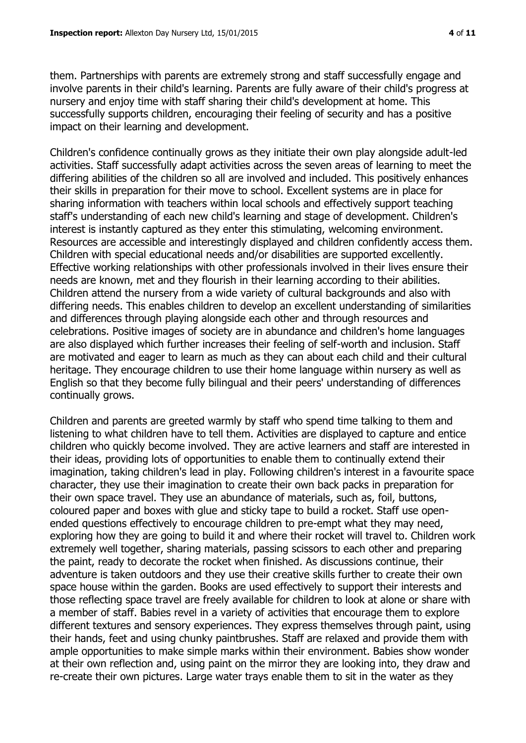them. Partnerships with parents are extremely strong and staff successfully engage and involve parents in their child's learning. Parents are fully aware of their child's progress at nursery and enjoy time with staff sharing their child's development at home. This successfully supports children, encouraging their feeling of security and has a positive impact on their learning and development.

Children's confidence continually grows as they initiate their own play alongside adult-led activities. Staff successfully adapt activities across the seven areas of learning to meet the differing abilities of the children so all are involved and included. This positively enhances their skills in preparation for their move to school. Excellent systems are in place for sharing information with teachers within local schools and effectively support teaching staff's understanding of each new child's learning and stage of development. Children's interest is instantly captured as they enter this stimulating, welcoming environment. Resources are accessible and interestingly displayed and children confidently access them. Children with special educational needs and/or disabilities are supported excellently. Effective working relationships with other professionals involved in their lives ensure their needs are known, met and they flourish in their learning according to their abilities. Children attend the nursery from a wide variety of cultural backgrounds and also with differing needs. This enables children to develop an excellent understanding of similarities and differences through playing alongside each other and through resources and celebrations. Positive images of society are in abundance and children's home languages are also displayed which further increases their feeling of self-worth and inclusion. Staff are motivated and eager to learn as much as they can about each child and their cultural heritage. They encourage children to use their home language within nursery as well as English so that they become fully bilingual and their peers' understanding of differences continually grows.

Children and parents are greeted warmly by staff who spend time talking to them and listening to what children have to tell them. Activities are displayed to capture and entice children who quickly become involved. They are active learners and staff are interested in their ideas, providing lots of opportunities to enable them to continually extend their imagination, taking children's lead in play. Following children's interest in a favourite space character, they use their imagination to create their own back packs in preparation for their own space travel. They use an abundance of materials, such as, foil, buttons, coloured paper and boxes with glue and sticky tape to build a rocket. Staff use openended questions effectively to encourage children to pre-empt what they may need, exploring how they are going to build it and where their rocket will travel to. Children work extremely well together, sharing materials, passing scissors to each other and preparing the paint, ready to decorate the rocket when finished. As discussions continue, their adventure is taken outdoors and they use their creative skills further to create their own space house within the garden. Books are used effectively to support their interests and those reflecting space travel are freely available for children to look at alone or share with a member of staff. Babies revel in a variety of activities that encourage them to explore different textures and sensory experiences. They express themselves through paint, using their hands, feet and using chunky paintbrushes. Staff are relaxed and provide them with ample opportunities to make simple marks within their environment. Babies show wonder at their own reflection and, using paint on the mirror they are looking into, they draw and re-create their own pictures. Large water trays enable them to sit in the water as they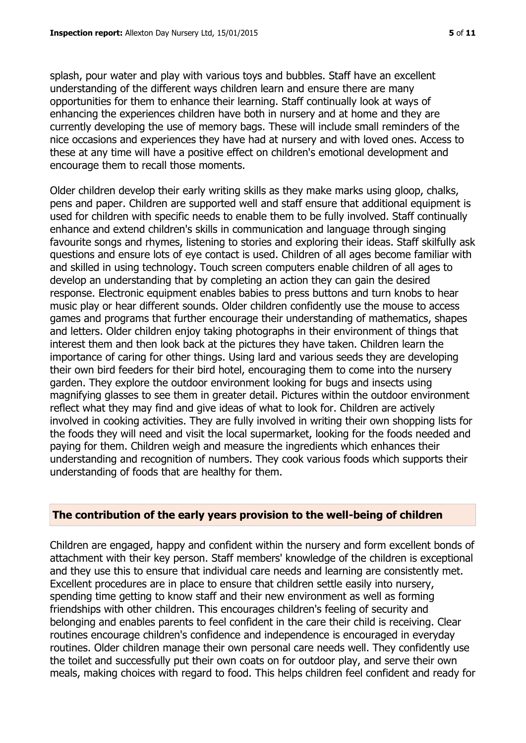splash, pour water and play with various toys and bubbles. Staff have an excellent understanding of the different ways children learn and ensure there are many opportunities for them to enhance their learning. Staff continually look at ways of enhancing the experiences children have both in nursery and at home and they are currently developing the use of memory bags. These will include small reminders of the nice occasions and experiences they have had at nursery and with loved ones. Access to these at any time will have a positive effect on children's emotional development and encourage them to recall those moments.

Older children develop their early writing skills as they make marks using gloop, chalks, pens and paper. Children are supported well and staff ensure that additional equipment is used for children with specific needs to enable them to be fully involved. Staff continually enhance and extend children's skills in communication and language through singing favourite songs and rhymes, listening to stories and exploring their ideas. Staff skilfully ask questions and ensure lots of eye contact is used. Children of all ages become familiar with and skilled in using technology. Touch screen computers enable children of all ages to develop an understanding that by completing an action they can gain the desired response. Electronic equipment enables babies to press buttons and turn knobs to hear music play or hear different sounds. Older children confidently use the mouse to access games and programs that further encourage their understanding of mathematics, shapes and letters. Older children enjoy taking photographs in their environment of things that interest them and then look back at the pictures they have taken. Children learn the importance of caring for other things. Using lard and various seeds they are developing their own bird feeders for their bird hotel, encouraging them to come into the nursery garden. They explore the outdoor environment looking for bugs and insects using magnifying glasses to see them in greater detail. Pictures within the outdoor environment reflect what they may find and give ideas of what to look for. Children are actively involved in cooking activities. They are fully involved in writing their own shopping lists for the foods they will need and visit the local supermarket, looking for the foods needed and paying for them. Children weigh and measure the ingredients which enhances their understanding and recognition of numbers. They cook various foods which supports their understanding of foods that are healthy for them.

# **The contribution of the early years provision to the well-being of children**

Children are engaged, happy and confident within the nursery and form excellent bonds of attachment with their key person. Staff members' knowledge of the children is exceptional and they use this to ensure that individual care needs and learning are consistently met. Excellent procedures are in place to ensure that children settle easily into nursery, spending time getting to know staff and their new environment as well as forming friendships with other children. This encourages children's feeling of security and belonging and enables parents to feel confident in the care their child is receiving. Clear routines encourage children's confidence and independence is encouraged in everyday routines. Older children manage their own personal care needs well. They confidently use the toilet and successfully put their own coats on for outdoor play, and serve their own meals, making choices with regard to food. This helps children feel confident and ready for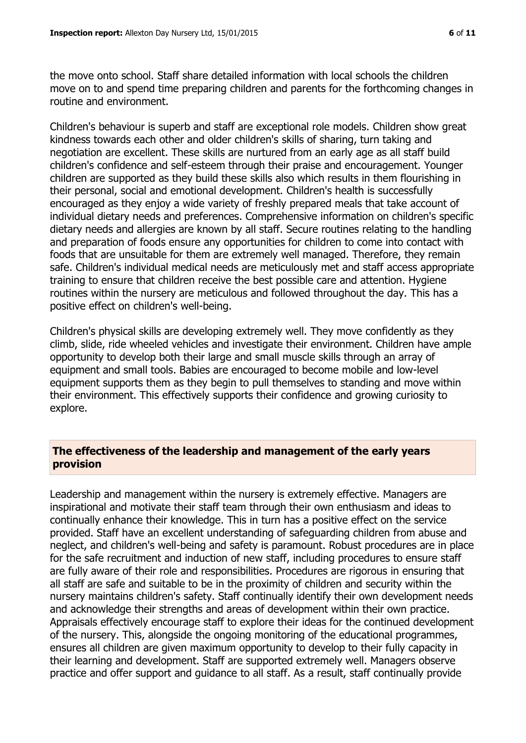the move onto school. Staff share detailed information with local schools the children move on to and spend time preparing children and parents for the forthcoming changes in routine and environment.

Children's behaviour is superb and staff are exceptional role models. Children show great kindness towards each other and older children's skills of sharing, turn taking and negotiation are excellent. These skills are nurtured from an early age as all staff build children's confidence and self-esteem through their praise and encouragement. Younger children are supported as they build these skills also which results in them flourishing in their personal, social and emotional development. Children's health is successfully encouraged as they enjoy a wide variety of freshly prepared meals that take account of individual dietary needs and preferences. Comprehensive information on children's specific dietary needs and allergies are known by all staff. Secure routines relating to the handling and preparation of foods ensure any opportunities for children to come into contact with foods that are unsuitable for them are extremely well managed. Therefore, they remain safe. Children's individual medical needs are meticulously met and staff access appropriate training to ensure that children receive the best possible care and attention. Hygiene routines within the nursery are meticulous and followed throughout the day. This has a positive effect on children's well-being.

Children's physical skills are developing extremely well. They move confidently as they climb, slide, ride wheeled vehicles and investigate their environment. Children have ample opportunity to develop both their large and small muscle skills through an array of equipment and small tools. Babies are encouraged to become mobile and low-level equipment supports them as they begin to pull themselves to standing and move within their environment. This effectively supports their confidence and growing curiosity to explore.

# **The effectiveness of the leadership and management of the early years provision**

Leadership and management within the nursery is extremely effective. Managers are inspirational and motivate their staff team through their own enthusiasm and ideas to continually enhance their knowledge. This in turn has a positive effect on the service provided. Staff have an excellent understanding of safeguarding children from abuse and neglect, and children's well-being and safety is paramount. Robust procedures are in place for the safe recruitment and induction of new staff, including procedures to ensure staff are fully aware of their role and responsibilities. Procedures are rigorous in ensuring that all staff are safe and suitable to be in the proximity of children and security within the nursery maintains children's safety. Staff continually identify their own development needs and acknowledge their strengths and areas of development within their own practice. Appraisals effectively encourage staff to explore their ideas for the continued development of the nursery. This, alongside the ongoing monitoring of the educational programmes, ensures all children are given maximum opportunity to develop to their fully capacity in their learning and development. Staff are supported extremely well. Managers observe practice and offer support and guidance to all staff. As a result, staff continually provide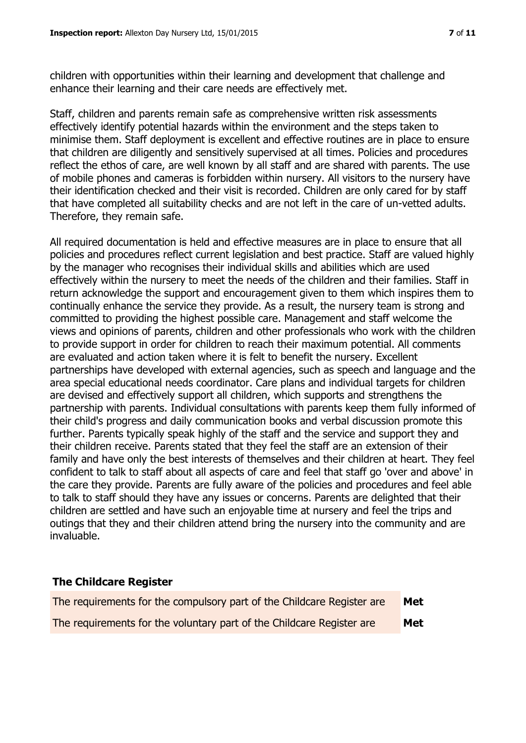children with opportunities within their learning and development that challenge and enhance their learning and their care needs are effectively met.

Staff, children and parents remain safe as comprehensive written risk assessments effectively identify potential hazards within the environment and the steps taken to minimise them. Staff deployment is excellent and effective routines are in place to ensure that children are diligently and sensitively supervised at all times. Policies and procedures reflect the ethos of care, are well known by all staff and are shared with parents. The use of mobile phones and cameras is forbidden within nursery. All visitors to the nursery have their identification checked and their visit is recorded. Children are only cared for by staff that have completed all suitability checks and are not left in the care of un-vetted adults. Therefore, they remain safe.

All required documentation is held and effective measures are in place to ensure that all policies and procedures reflect current legislation and best practice. Staff are valued highly by the manager who recognises their individual skills and abilities which are used effectively within the nursery to meet the needs of the children and their families. Staff in return acknowledge the support and encouragement given to them which inspires them to continually enhance the service they provide. As a result, the nursery team is strong and committed to providing the highest possible care. Management and staff welcome the views and opinions of parents, children and other professionals who work with the children to provide support in order for children to reach their maximum potential. All comments are evaluated and action taken where it is felt to benefit the nursery. Excellent partnerships have developed with external agencies, such as speech and language and the area special educational needs coordinator. Care plans and individual targets for children are devised and effectively support all children, which supports and strengthens the partnership with parents. Individual consultations with parents keep them fully informed of their child's progress and daily communication books and verbal discussion promote this further. Parents typically speak highly of the staff and the service and support they and their children receive. Parents stated that they feel the staff are an extension of their family and have only the best interests of themselves and their children at heart. They feel confident to talk to staff about all aspects of care and feel that staff go 'over and above' in the care they provide. Parents are fully aware of the policies and procedures and feel able to talk to staff should they have any issues or concerns. Parents are delighted that their children are settled and have such an enjoyable time at nursery and feel the trips and outings that they and their children attend bring the nursery into the community and are invaluable.

#### **The Childcare Register**

| The requirements for the compulsory part of the Childcare Register are | Met |
|------------------------------------------------------------------------|-----|
| The requirements for the voluntary part of the Childcare Register are  | Met |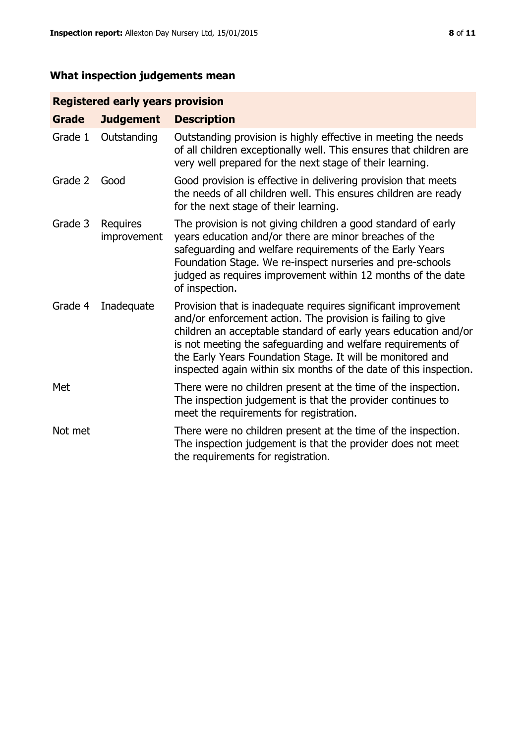# **What inspection judgements mean**

# **Registered early years provision**

| <b>Grade</b> | <b>Judgement</b>        | <b>Description</b>                                                                                                                                                                                                                                                                                                                                                                                |
|--------------|-------------------------|---------------------------------------------------------------------------------------------------------------------------------------------------------------------------------------------------------------------------------------------------------------------------------------------------------------------------------------------------------------------------------------------------|
| Grade 1      | Outstanding             | Outstanding provision is highly effective in meeting the needs<br>of all children exceptionally well. This ensures that children are<br>very well prepared for the next stage of their learning.                                                                                                                                                                                                  |
| Grade 2      | Good                    | Good provision is effective in delivering provision that meets<br>the needs of all children well. This ensures children are ready<br>for the next stage of their learning.                                                                                                                                                                                                                        |
| Grade 3      | Requires<br>improvement | The provision is not giving children a good standard of early<br>years education and/or there are minor breaches of the<br>safeguarding and welfare requirements of the Early Years<br>Foundation Stage. We re-inspect nurseries and pre-schools<br>judged as requires improvement within 12 months of the date<br>of inspection.                                                                 |
| Grade 4      | Inadequate              | Provision that is inadequate requires significant improvement<br>and/or enforcement action. The provision is failing to give<br>children an acceptable standard of early years education and/or<br>is not meeting the safeguarding and welfare requirements of<br>the Early Years Foundation Stage. It will be monitored and<br>inspected again within six months of the date of this inspection. |
| Met          |                         | There were no children present at the time of the inspection.<br>The inspection judgement is that the provider continues to<br>meet the requirements for registration.                                                                                                                                                                                                                            |
| Not met      |                         | There were no children present at the time of the inspection.<br>The inspection judgement is that the provider does not meet<br>the requirements for registration.                                                                                                                                                                                                                                |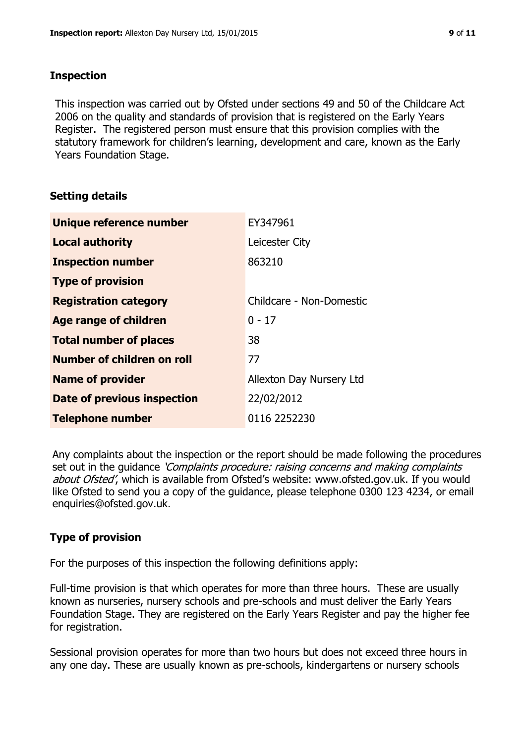#### **Inspection**

This inspection was carried out by Ofsted under sections 49 and 50 of the Childcare Act 2006 on the quality and standards of provision that is registered on the Early Years Register. The registered person must ensure that this provision complies with the statutory framework for children's learning, development and care, known as the Early Years Foundation Stage.

# **Setting details**

| Unique reference number            | EY347961                 |
|------------------------------------|--------------------------|
| <b>Local authority</b>             | Leicester City           |
| <b>Inspection number</b>           | 863210                   |
| <b>Type of provision</b>           |                          |
| <b>Registration category</b>       | Childcare - Non-Domestic |
| Age range of children              | $0 - 17$                 |
| <b>Total number of places</b>      | 38                       |
| Number of children on roll         | 77                       |
| <b>Name of provider</b>            | Allexton Day Nursery Ltd |
| <b>Date of previous inspection</b> | 22/02/2012               |
| <b>Telephone number</b>            | 0116 2252230             |

Any complaints about the inspection or the report should be made following the procedures set out in the guidance *'Complaints procedure: raising concerns and making complaints* about Ofsted', which is available from Ofsted's website: www.ofsted.gov.uk. If you would like Ofsted to send you a copy of the guidance, please telephone 0300 123 4234, or email enquiries@ofsted.gov.uk.

# **Type of provision**

For the purposes of this inspection the following definitions apply:

Full-time provision is that which operates for more than three hours. These are usually known as nurseries, nursery schools and pre-schools and must deliver the Early Years Foundation Stage. They are registered on the Early Years Register and pay the higher fee for registration.

Sessional provision operates for more than two hours but does not exceed three hours in any one day. These are usually known as pre-schools, kindergartens or nursery schools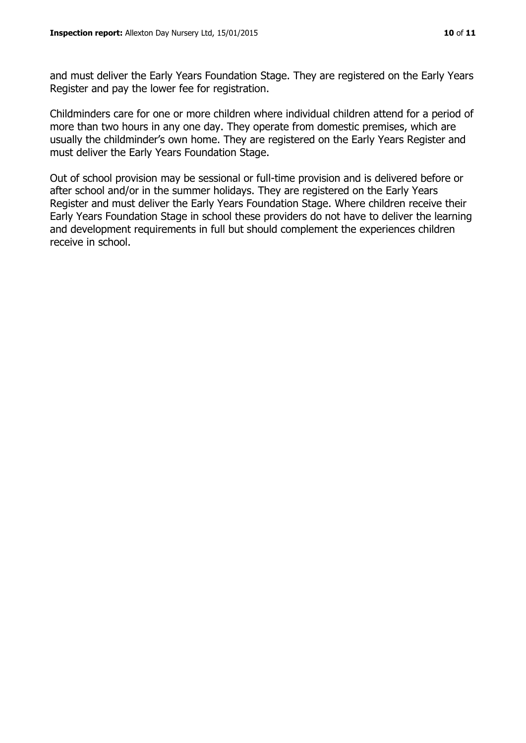and must deliver the Early Years Foundation Stage. They are registered on the Early Years Register and pay the lower fee for registration.

Childminders care for one or more children where individual children attend for a period of more than two hours in any one day. They operate from domestic premises, which are usually the childminder's own home. They are registered on the Early Years Register and must deliver the Early Years Foundation Stage.

Out of school provision may be sessional or full-time provision and is delivered before or after school and/or in the summer holidays. They are registered on the Early Years Register and must deliver the Early Years Foundation Stage. Where children receive their Early Years Foundation Stage in school these providers do not have to deliver the learning and development requirements in full but should complement the experiences children receive in school.